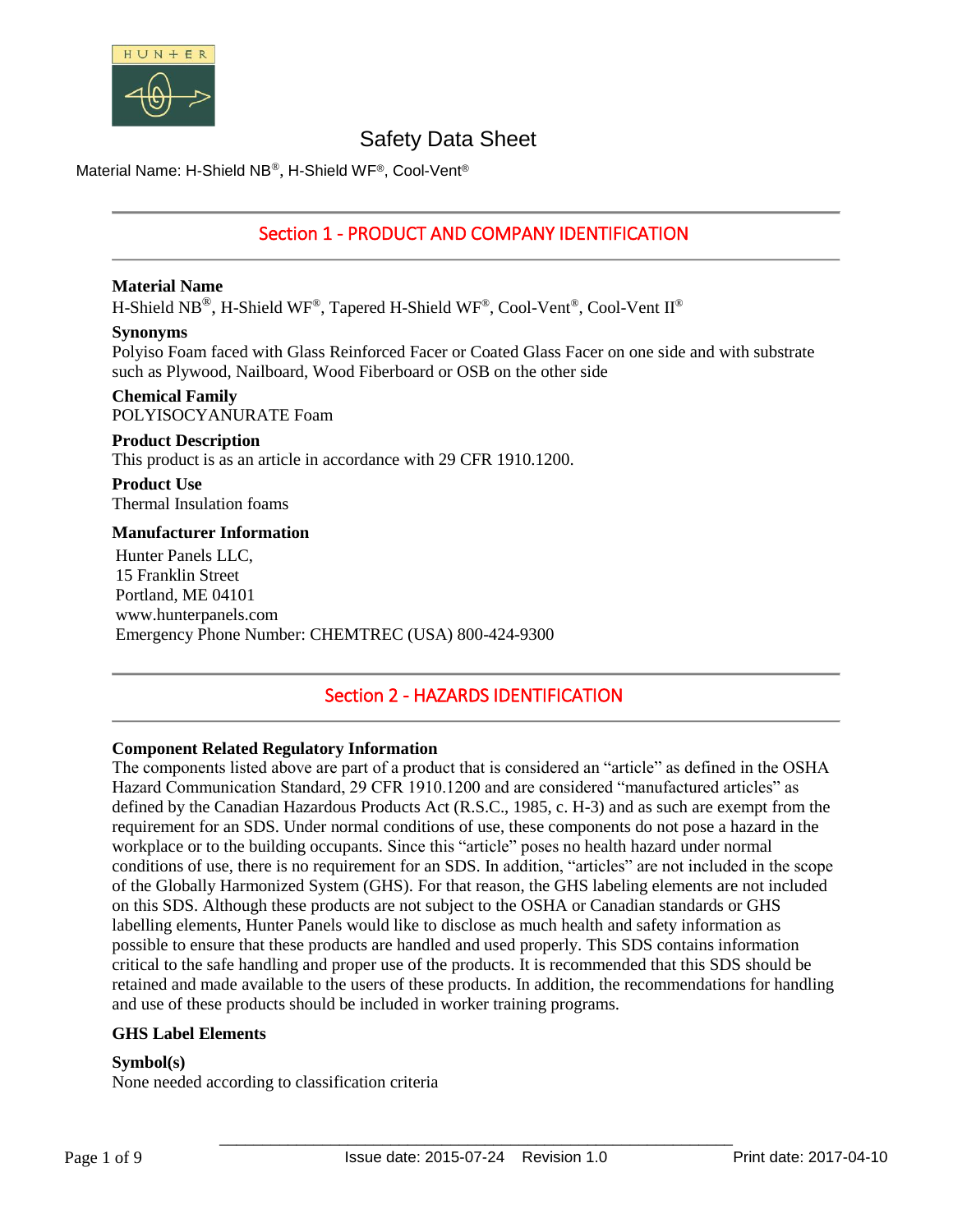

Material Name: H-Shield NB®, H-Shield WF®, Cool-Vent®

# Section 1 - PRODUCT AND COMPANY IDENTIFICATION

### **Material Name**

H-Shield NB®, H-Shield WF®, Tapered H-Shield WF®, Cool-Vent®, Cool-Vent II®

### **Synonyms**

Polyiso Foam faced with Glass Reinforced Facer or Coated Glass Facer on one side and with substrate such as Plywood, Nailboard, Wood Fiberboard or OSB on the other side

#### **Chemical Family** POLYISOCYANURATE Foam

# **Product Description**

This product is as an article in accordance with 29 CFR 1910.1200.

**Product Use** Thermal Insulation foams

### **Manufacturer Information**

Hunter Panels LLC, 15 Franklin Street Portland, ME 04101 www.hunterpanels.com Emergency Phone Number: CHEMTREC (USA) 800-424-9300

# Section 2 - HAZARDS IDENTIFICATION

# **Component Related Regulatory Information**

The components listed above are part of a product that is considered an "article" as defined in the OSHA Hazard Communication Standard, 29 CFR 1910.1200 and are considered "manufactured articles" as defined by the Canadian Hazardous Products Act (R.S.C., 1985, c. H-3) and as such are exempt from the requirement for an SDS. Under normal conditions of use, these components do not pose a hazard in the workplace or to the building occupants. Since this "article" poses no health hazard under normal conditions of use, there is no requirement for an SDS. In addition, "articles" are not included in the scope of the Globally Harmonized System (GHS). For that reason, the GHS labeling elements are not included on this SDS. Although these products are not subject to the OSHA or Canadian standards or GHS labelling elements, Hunter Panels would like to disclose as much health and safety information as possible to ensure that these products are handled and used properly. This SDS contains information critical to the safe handling and proper use of the products. It is recommended that this SDS should be retained and made available to the users of these products. In addition, the recommendations for handling and use of these products should be included in worker training programs.

# **GHS Label Elements**

### **Symbol(s)**

None needed according to classification criteria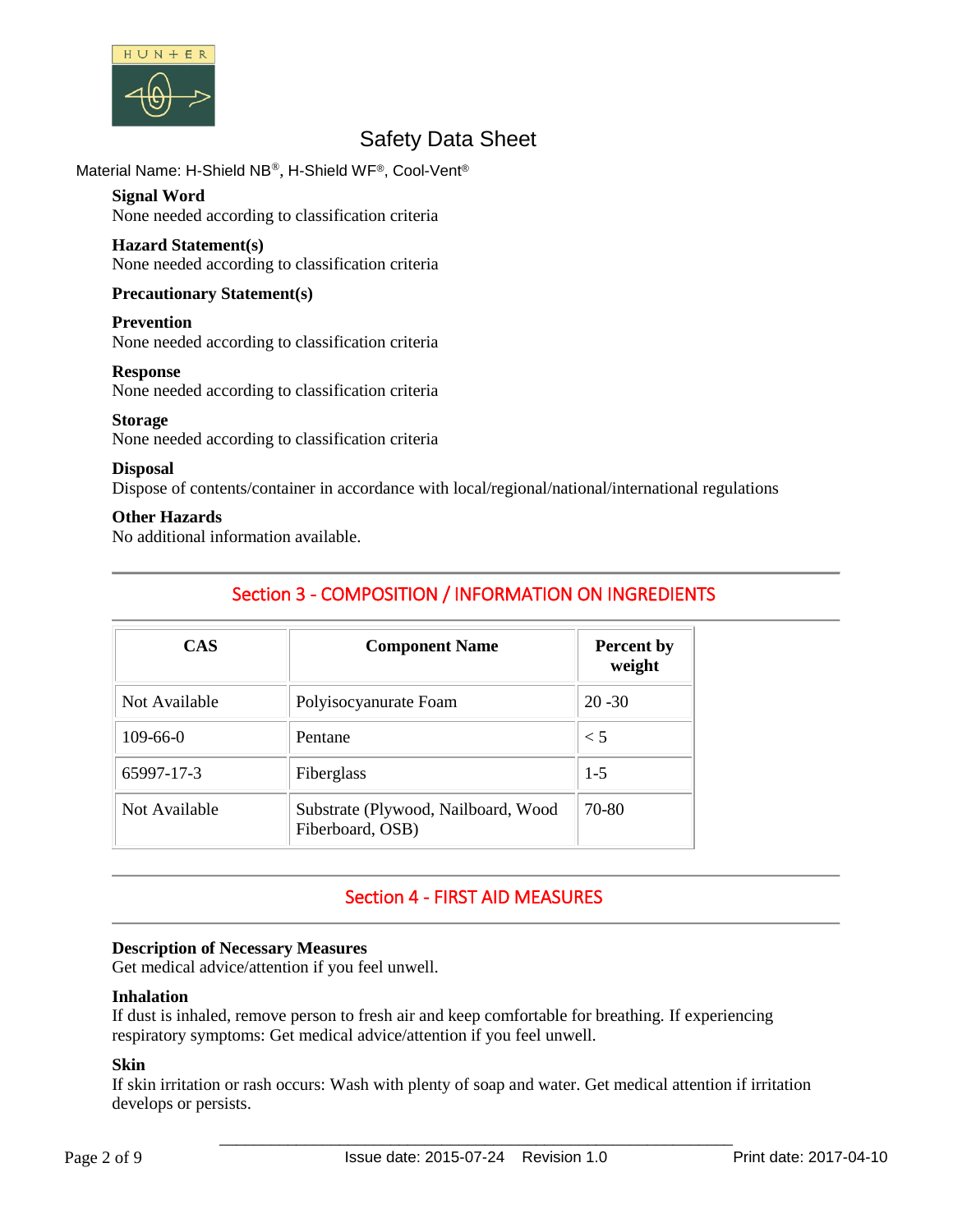

Material Name: H-Shield NB®, H-Shield WF®, Cool-Vent®

# **Signal Word**

None needed according to classification criteria

### **Hazard Statement(s)**

None needed according to classification criteria

# **Precautionary Statement(s)**

### **Prevention**

None needed according to classification criteria

### **Response**

None needed according to classification criteria

### **Storage**

None needed according to classification criteria

### **Disposal**

Dispose of contents/container in accordance with local/regional/national/international regulations

### **Other Hazards**

No additional information available.

# Section 3 - COMPOSITION / INFORMATION ON INGREDIENTS

| <b>CAS</b>    | <b>Component Name</b>                                   | <b>Percent by</b><br>weight |  |
|---------------|---------------------------------------------------------|-----------------------------|--|
| Not Available | Polyisocyanurate Foam                                   | $20 - 30$                   |  |
| $109-66-0$    | Pentane                                                 | $\leq 5$                    |  |
| 65997-17-3    | Fiberglass                                              | $1 - 5$                     |  |
| Not Available | Substrate (Plywood, Nailboard, Wood<br>Fiberboard, OSB) | 70-80                       |  |

# Section 4 - FIRST AID MEASURES

### **Description of Necessary Measures**

Get medical advice/attention if you feel unwell.

# **Inhalation**

If dust is inhaled, remove person to fresh air and keep comfortable for breathing. If experiencing respiratory symptoms: Get medical advice/attention if you feel unwell.

# **Skin**

If skin irritation or rash occurs: Wash with plenty of soap and water. Get medical attention if irritation develops or persists.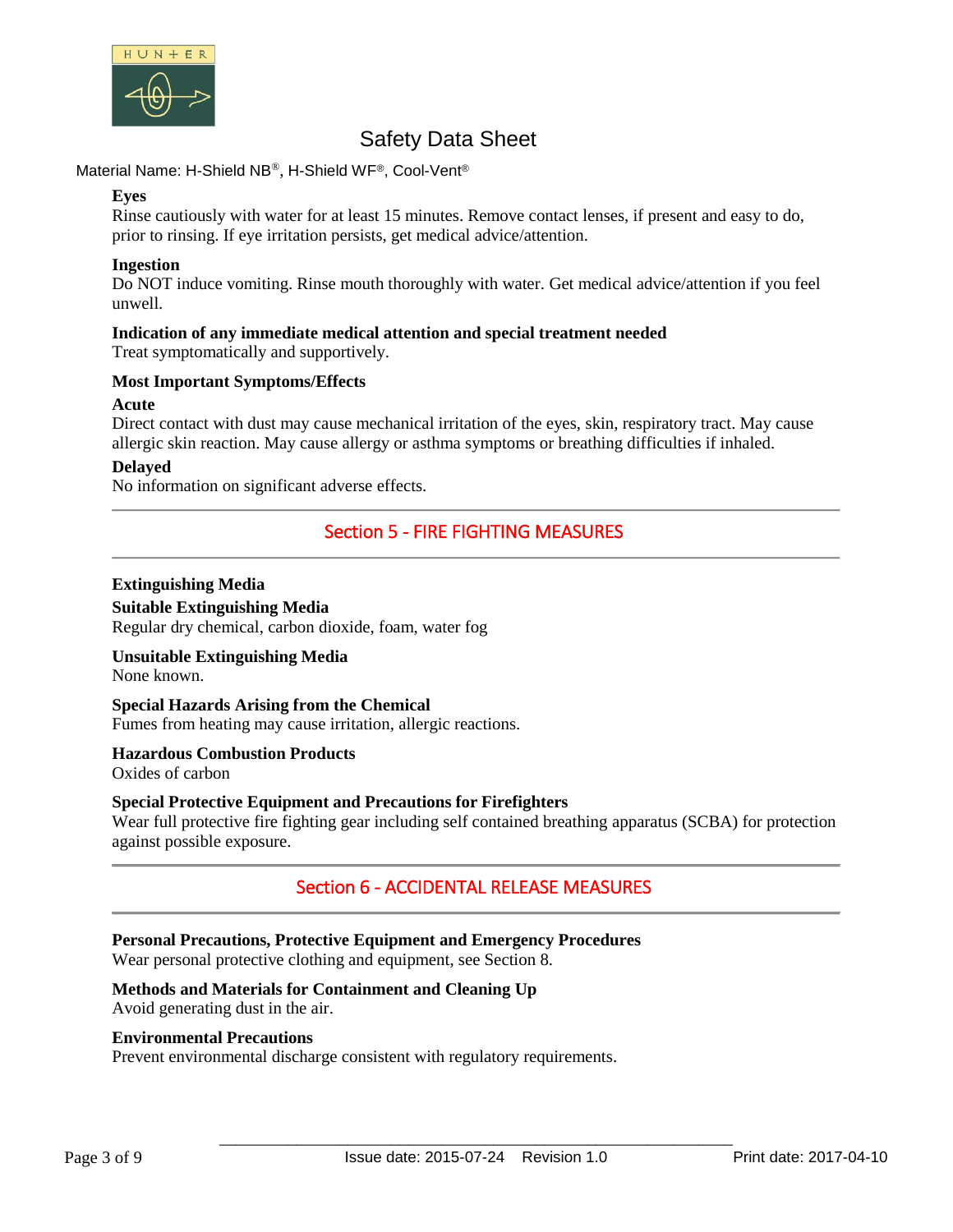

Material Name: H-Shield NB®, H-Shield WF®, Cool-Vent®

### **Eyes**

Rinse cautiously with water for at least 15 minutes. Remove contact lenses, if present and easy to do, prior to rinsing. If eye irritation persists, get medical advice/attention.

### **Ingestion**

Do NOT induce vomiting. Rinse mouth thoroughly with water. Get medical advice/attention if you feel unwell.

#### **Indication of any immediate medical attention and special treatment needed** Treat symptomatically and supportively.

### **Most Important Symptoms/Effects**

### **Acute**

Direct contact with dust may cause mechanical irritation of the eyes, skin, respiratory tract. May cause allergic skin reaction. May cause allergy or asthma symptoms or breathing difficulties if inhaled.

### **Delayed**

No information on significant adverse effects.

# Section 5 - FIRE FIGHTING MEASURES

### **Extinguishing Media**

**Suitable Extinguishing Media** Regular dry chemical, carbon dioxide, foam, water fog

### **Unsuitable Extinguishing Media**

None known.

# **Special Hazards Arising from the Chemical**

Fumes from heating may cause irritation, allergic reactions.

# **Hazardous Combustion Products**

Oxides of carbon

### **Special Protective Equipment and Precautions for Firefighters**

Wear full protective fire fighting gear including self contained breathing apparatus (SCBA) for protection against possible exposure.

# Section 6 - ACCIDENTAL RELEASE MEASURES

# **Personal Precautions, Protective Equipment and Emergency Procedures**

Wear personal protective clothing and equipment, see Section 8.

# **Methods and Materials for Containment and Cleaning Up**

Avoid generating dust in the air.

### **Environmental Precautions**

Prevent environmental discharge consistent with regulatory requirements.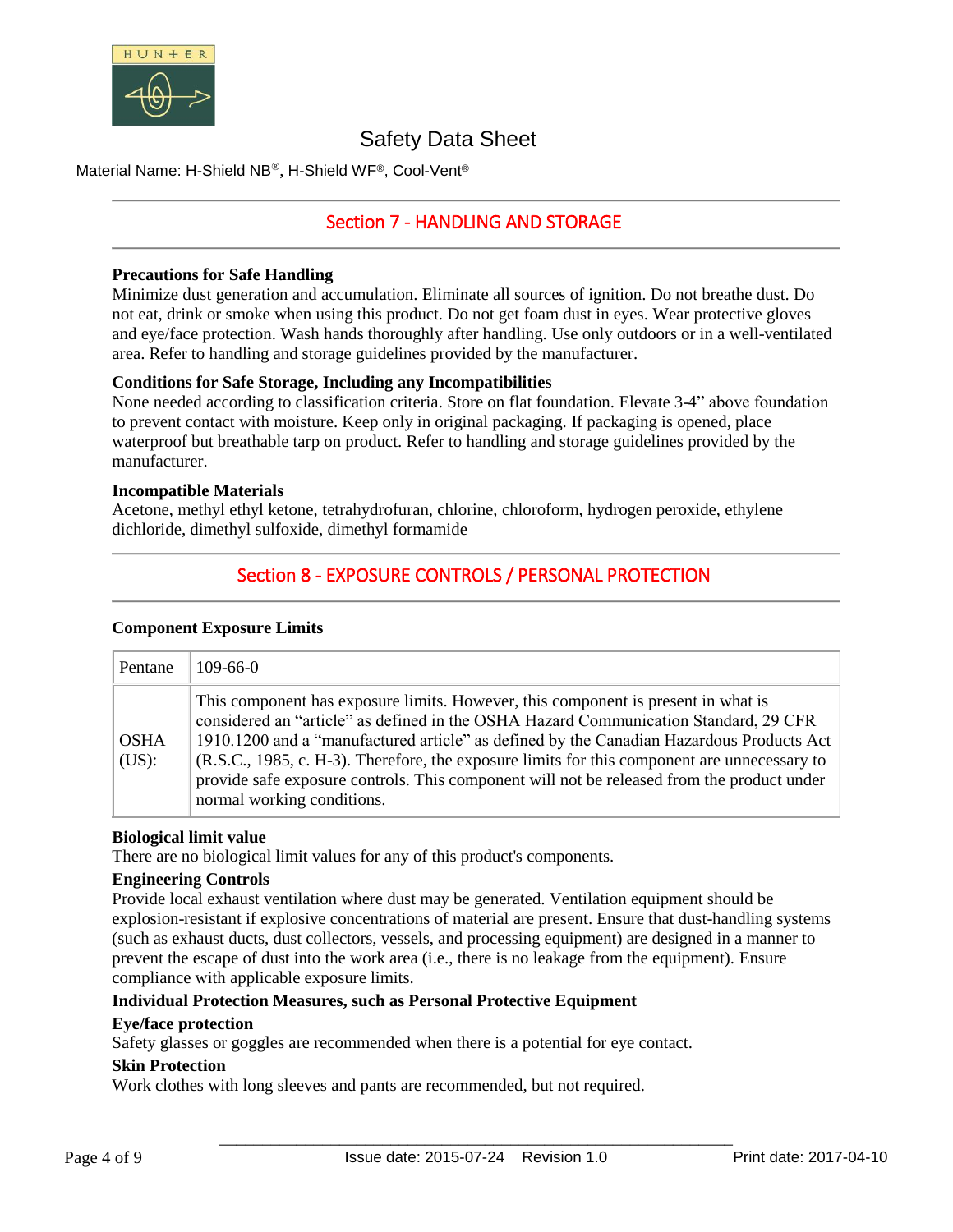

Material Name: H-Shield NB®, H-Shield WF®, Cool-Vent®

# Section 7 - HANDLING AND STORAGE

### **Precautions for Safe Handling**

Minimize dust generation and accumulation. Eliminate all sources of ignition. Do not breathe dust. Do not eat, drink or smoke when using this product. Do not get foam dust in eyes. Wear protective gloves and eye/face protection. Wash hands thoroughly after handling. Use only outdoors or in a well-ventilated area. Refer to handling and storage guidelines provided by the manufacturer.

### **Conditions for Safe Storage, Including any Incompatibilities**

None needed according to classification criteria. Store on flat foundation. Elevate 3-4" above foundation to prevent contact with moisture. Keep only in original packaging. If packaging is opened, place waterproof but breathable tarp on product. Refer to handling and storage guidelines provided by the manufacturer.

### **Incompatible Materials**

Acetone, methyl ethyl ketone, tetrahydrofuran, chlorine, chloroform, hydrogen peroxide, ethylene dichloride, dimethyl sulfoxide, dimethyl formamide

# Section 8 - EXPOSURE CONTROLS / PERSONAL PROTECTION

### **Component Exposure Limits**

| Pentane              | $109-66-0$                                                                                                                                                                                                                                                                                                                                                                                                                                                                                        |
|----------------------|---------------------------------------------------------------------------------------------------------------------------------------------------------------------------------------------------------------------------------------------------------------------------------------------------------------------------------------------------------------------------------------------------------------------------------------------------------------------------------------------------|
| <b>OSHA</b><br>(US): | This component has exposure limits. However, this component is present in what is<br>considered an "article" as defined in the OSHA Hazard Communication Standard, 29 CFR<br>1910.1200 and a "manufactured article" as defined by the Canadian Hazardous Products Act<br>(R.S.C., 1985, c. H-3). Therefore, the exposure limits for this component are unnecessary to<br>provide safe exposure controls. This component will not be released from the product under<br>normal working conditions. |

### **Biological limit value**

There are no biological limit values for any of this product's components.

### **Engineering Controls**

Provide local exhaust ventilation where dust may be generated. Ventilation equipment should be explosion-resistant if explosive concentrations of material are present. Ensure that dust-handling systems (such as exhaust ducts, dust collectors, vessels, and processing equipment) are designed in a manner to prevent the escape of dust into the work area (i.e., there is no leakage from the equipment). Ensure compliance with applicable exposure limits.

# **Individual Protection Measures, such as Personal Protective Equipment**

# **Eye/face protection**

Safety glasses or goggles are recommended when there is a potential for eye contact.

### **Skin Protection**

Work clothes with long sleeves and pants are recommended, but not required.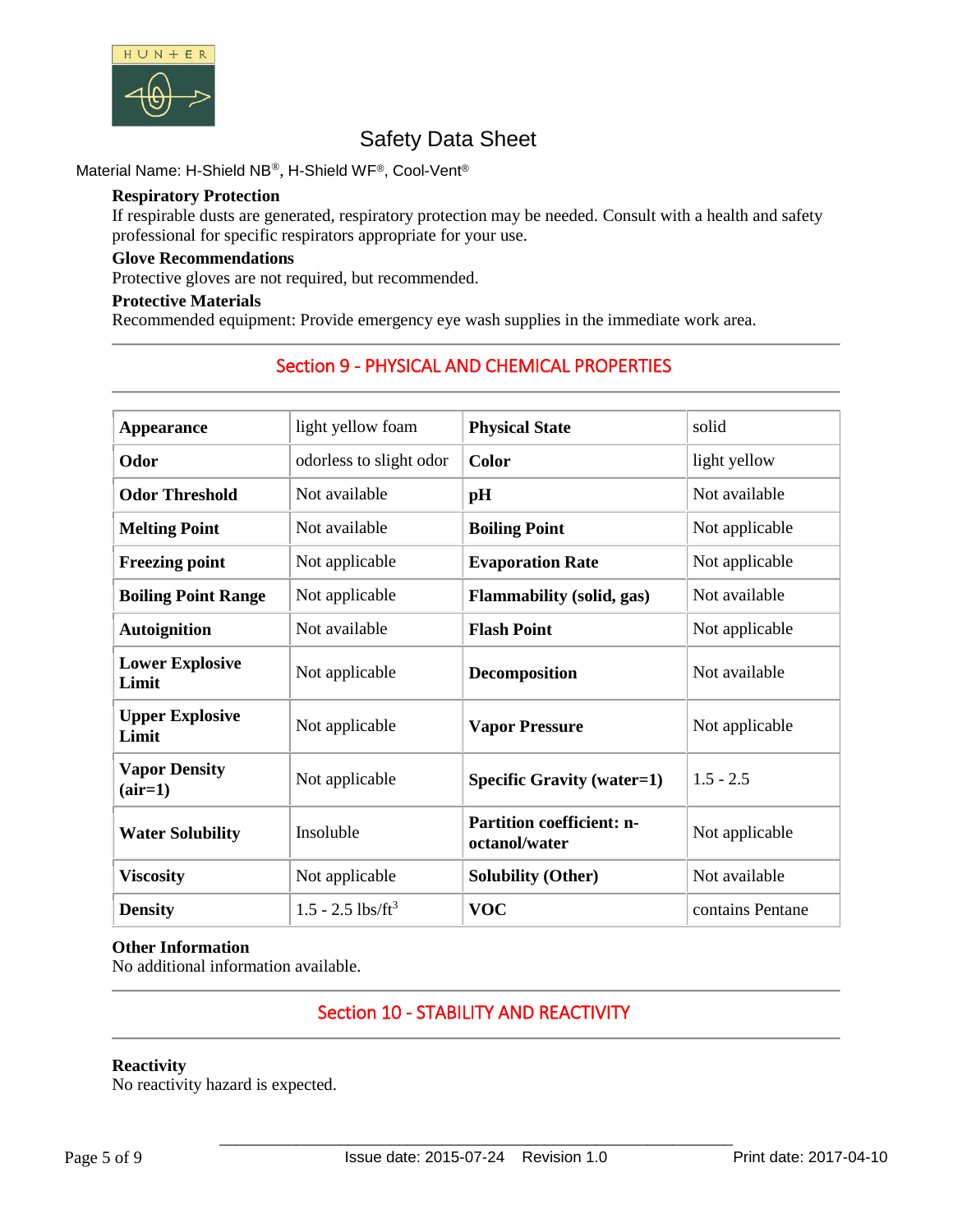

Material Name: H-Shield NB®, H-Shield WF®, Cool-Vent®

### **Respiratory Protection**

If respirable dusts are generated, respiratory protection may be needed. Consult with a health and safety professional for specific respirators appropriate for your use.

# **Glove Recommendations**

Protective gloves are not required, but recommended.

### **Protective Materials**

Recommended equipment: Provide emergency eye wash supplies in the immediate work area.

| <b>Appearance</b>                 | light yellow foam               | <b>Physical State</b>                                               | solid            |  |
|-----------------------------------|---------------------------------|---------------------------------------------------------------------|------------------|--|
| Odor                              | odorless to slight odor         | <b>Color</b>                                                        | light yellow     |  |
| <b>Odor Threshold</b>             | Not available                   | pH                                                                  | Not available    |  |
| <b>Melting Point</b>              | Not available                   | <b>Boiling Point</b>                                                | Not applicable   |  |
| <b>Freezing point</b>             | Not applicable                  | <b>Evaporation Rate</b>                                             | Not applicable   |  |
| <b>Boiling Point Range</b>        | Not applicable                  | <b>Flammability (solid, gas)</b>                                    | Not available    |  |
| <b>Autoignition</b>               | Not available                   | <b>Flash Point</b>                                                  | Not applicable   |  |
| <b>Lower Explosive</b><br>Limit   | Not applicable                  | <b>Decomposition</b>                                                | Not available    |  |
| <b>Upper Explosive</b><br>Limit   | Not applicable                  | <b>Vapor Pressure</b>                                               | Not applicable   |  |
| <b>Vapor Density</b><br>$(air=1)$ | Not applicable                  | <b>Specific Gravity (water=1)</b>                                   | $1.5 - 2.5$      |  |
| <b>Water Solubility</b>           | Insoluble                       | <b>Partition coefficient: n-</b><br>Not applicable<br>octanol/water |                  |  |
| <b>Viscosity</b>                  | Not applicable                  | <b>Solubility (Other)</b>                                           | Not available    |  |
| <b>Density</b>                    | $1.5 - 2.5$ lbs/ft <sup>3</sup> | <b>VOC</b>                                                          | contains Pentane |  |

# Section 9 - PHYSICAL AND CHEMICAL PROPERTIES

### **Other Information**

No additional information available.

# Section 10 - STABILITY AND REACTIVITY

### **Reactivity**

No reactivity hazard is expected.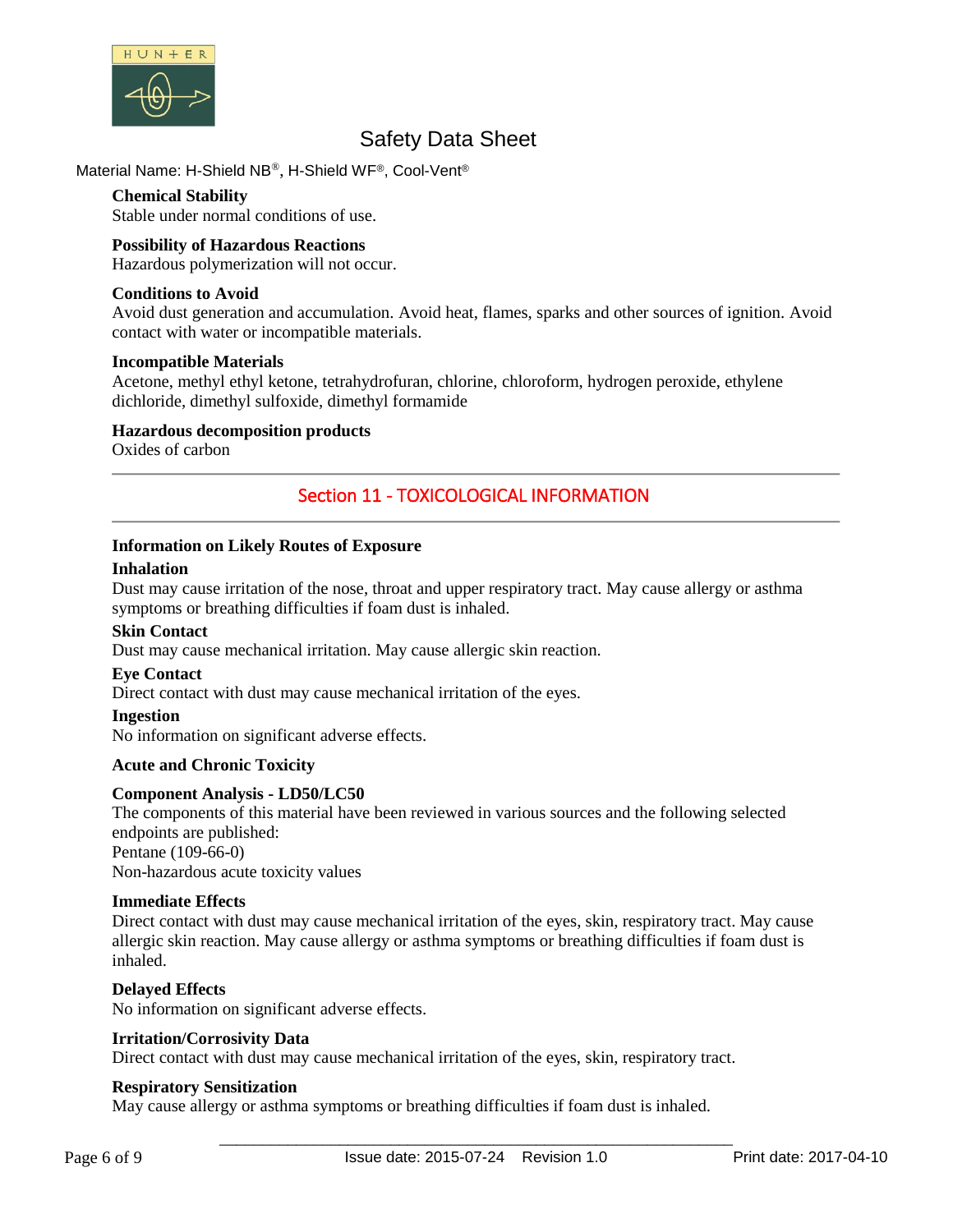

# Material Name: H-Shield NB®, H-Shield WF®, Cool-Vent®

### **Chemical Stability**

Stable under normal conditions of use.

### **Possibility of Hazardous Reactions**

Hazardous polymerization will not occur.

### **Conditions to Avoid**

Avoid dust generation and accumulation. Avoid heat, flames, sparks and other sources of ignition. Avoid contact with water or incompatible materials.

### **Incompatible Materials**

Acetone, methyl ethyl ketone, tetrahydrofuran, chlorine, chloroform, hydrogen peroxide, ethylene dichloride, dimethyl sulfoxide, dimethyl formamide

### **Hazardous decomposition products**

Oxides of carbon

# Section 11 - TOXICOLOGICAL INFORMATION

### **Information on Likely Routes of Exposure**

### **Inhalation**

Dust may cause irritation of the nose, throat and upper respiratory tract. May cause allergy or asthma symptoms or breathing difficulties if foam dust is inhaled.

### **Skin Contact**

Dust may cause mechanical irritation. May cause allergic skin reaction.

### **Eye Contact**

Direct contact with dust may cause mechanical irritation of the eyes.

### **Ingestion**

No information on significant adverse effects.

### **Acute and Chronic Toxicity**

### **Component Analysis - LD50/LC50**

The components of this material have been reviewed in various sources and the following selected endpoints are published: Pentane (109-66-0)

Non-hazardous acute toxicity values

### **Immediate Effects**

Direct contact with dust may cause mechanical irritation of the eyes, skin, respiratory tract. May cause allergic skin reaction. May cause allergy or asthma symptoms or breathing difficulties if foam dust is inhaled.

# **Delayed Effects**

No information on significant adverse effects.

### **Irritation/Corrosivity Data**

Direct contact with dust may cause mechanical irritation of the eyes, skin, respiratory tract.

### **Respiratory Sensitization**

May cause allergy or asthma symptoms or breathing difficulties if foam dust is inhaled.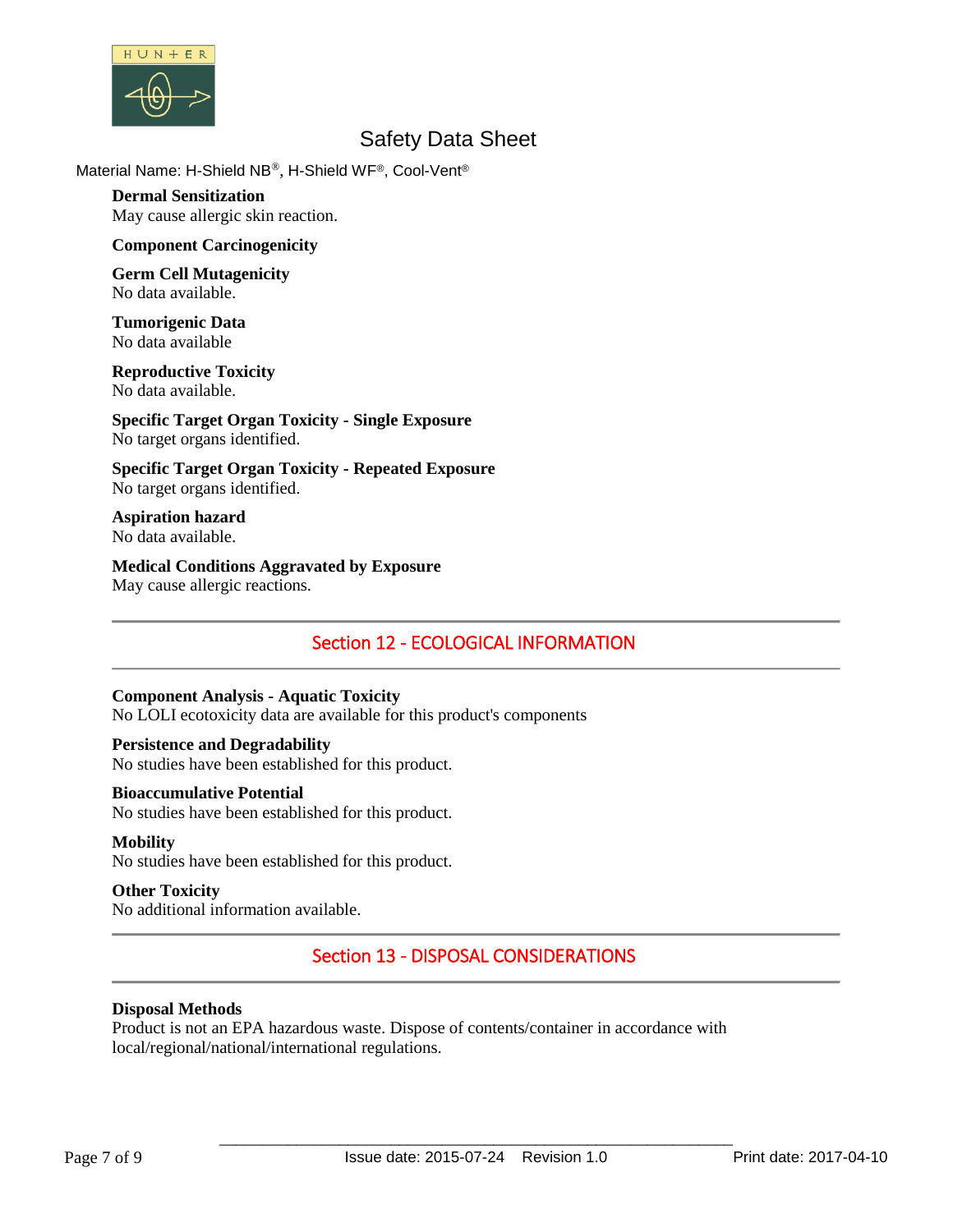

Material Name: H-Shield NB®, H-Shield WF®, Cool-Vent®

**Dermal Sensitization** May cause allergic skin reaction.

### **Component Carcinogenicity**

**Germ Cell Mutagenicity** No data available.

**Tumorigenic Data** No data available

#### **Reproductive Toxicity** No data available.

**Specific Target Organ Toxicity - Single Exposure** No target organs identified.

**Specific Target Organ Toxicity - Repeated Exposure** No target organs identified.

**Aspiration hazard** No data available.

**Medical Conditions Aggravated by Exposure** May cause allergic reactions.

# Section 12 - ECOLOGICAL INFORMATION

### **Component Analysis - Aquatic Toxicity**

No LOLI ecotoxicity data are available for this product's components

### **Persistence and Degradability**

No studies have been established for this product.

### **Bioaccumulative Potential**

No studies have been established for this product.

### **Mobility**

No studies have been established for this product.

# **Other Toxicity**

No additional information available.

# Section 13 - DISPOSAL CONSIDERATIONS

### **Disposal Methods**

Product is not an EPA hazardous waste. Dispose of contents/container in accordance with local/regional/national/international regulations.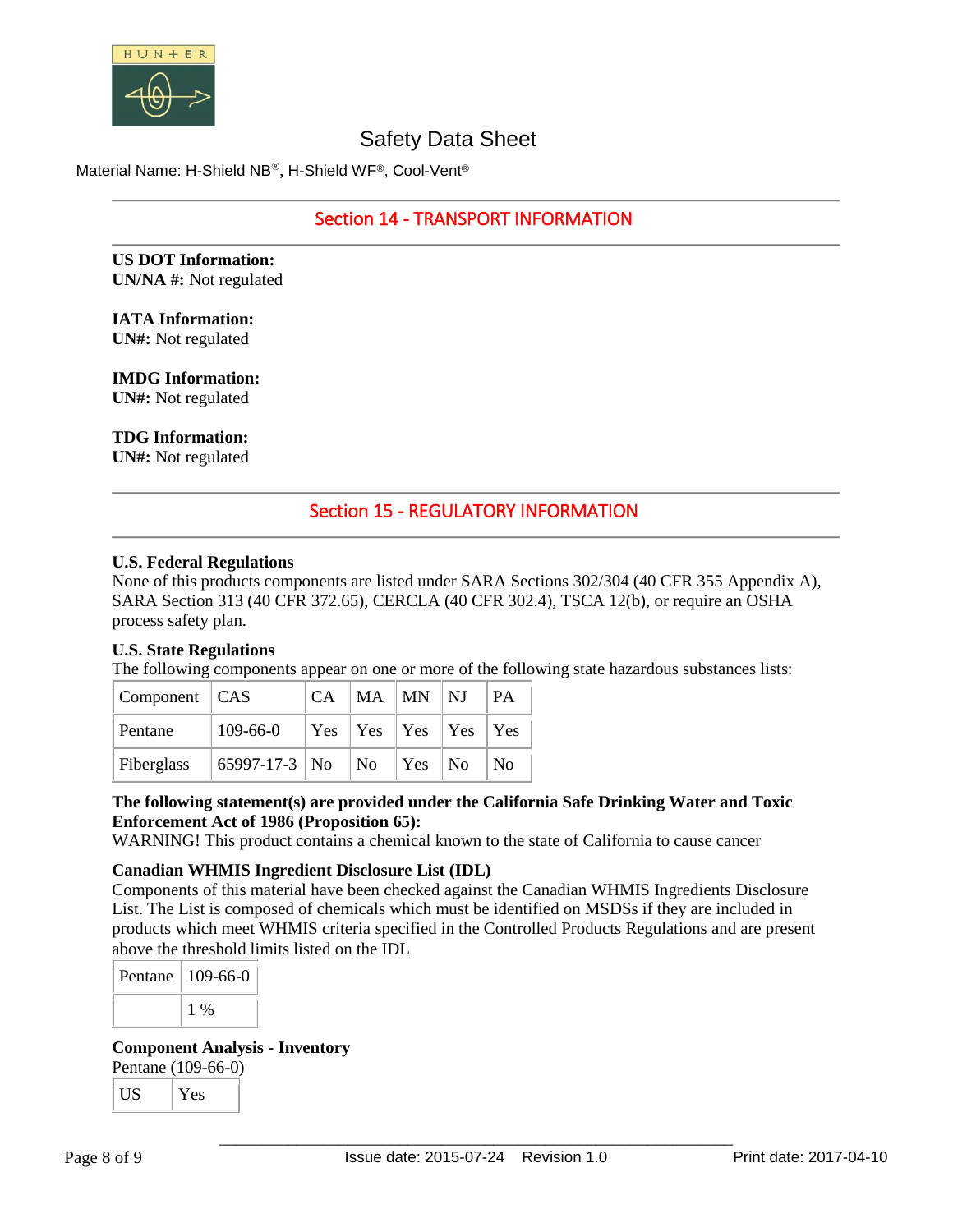

Material Name: H-Shield NB®, H-Shield WF®, Cool-Vent®

# Section 14 - TRANSPORT INFORMATION

**US DOT Information: UN/NA #:** Not regulated

# **IATA Information:**

**UN#:** Not regulated

# **IMDG Information:**

**UN#:** Not regulated

# **TDG Information:**

**UN#:** Not regulated

# Section 15 - REGULATORY INFORMATION

### **U.S. Federal Regulations**

None of this products components are listed under SARA Sections 302/304 (40 CFR 355 Appendix A), SARA Section 313 (40 CFR 372.65), CERCLA (40 CFR 302.4), TSCA 12(b), or require an OSHA process safety plan.

# **U.S. State Regulations**

The following components appear on one or more of the following state hazardous substances lists:

| $\vert$ Component $\vert$ CAS |                | CA | $ MA$ $ MN$ $ NJ$ |                        | <b>PA</b>      |
|-------------------------------|----------------|----|-------------------|------------------------|----------------|
| Pentane                       | $109 - 66 - 0$ |    |                   |                        |                |
| Fiberglass                    | 65997-17-3 No  |    | $\vert$ No        | $\vert$ Yes $\vert$ No | N <sub>0</sub> |

# **The following statement(s) are provided under the California Safe Drinking Water and Toxic Enforcement Act of 1986 (Proposition 65):**

WARNING! This product contains a chemical known to the state of California to cause cancer

### **Canadian WHMIS Ingredient Disclosure List (IDL)**

Components of this material have been checked against the Canadian WHMIS Ingredients Disclosure List. The List is composed of chemicals which must be identified on MSDSs if they are included in products which meet WHMIS criteria specified in the Controlled Products Regulations and are present above the threshold limits listed on the IDL

Pentane  $109-66-0$ 1 %

### **Component Analysis - Inventory**

Pentane (109-66-0)

| 1 C | 1e <sub>s</sub> |
|-----|-----------------|
|-----|-----------------|